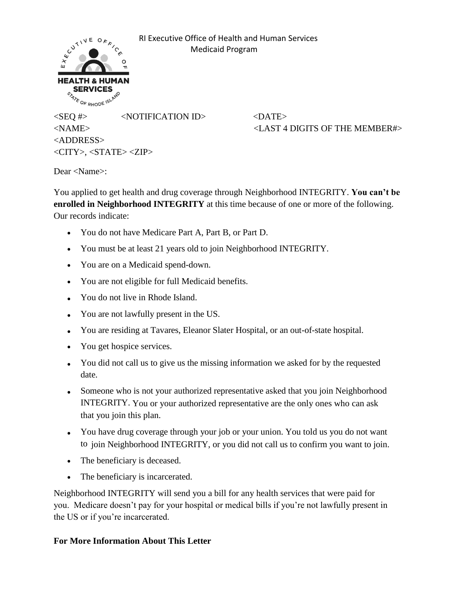

 RI Executive Office of Health and Human Services Medicaid Program

 $\langle$ SEQ #>  $\langle$ NOTIFICATION ID>  $\langle$ DATE> <NAME> <LAST 4 DIGITS OF THE MEMBER#> <ADDRESS> <CITY>, <STATE> <ZIP>

Dear <Name>:

You applied to get health and drug coverage through Neighborhood INTEGRITY. **You can't be enrolled in Neighborhood INTEGRITY** at this time because of one or more of the following. Our records indicate:

- You do not have Medicare Part A, Part B, or Part D.
- You must be at least 21 years old to join Neighborhood INTEGRITY.
- You are on a Medicaid spend-down.
- You are not eligible for full Medicaid benefits.
- You do not live in Rhode Island.
- You are not lawfully present in the US.
- You are residing at Tavares, Eleanor Slater Hospital, or an out-of-state hospital.
- You get hospice services.
- You did not call us to give us the missing information we asked for by the requested date.
- Someone who is not your authorized representative asked that you join Neighborhood INTEGRITY. You or your authorized representative are the only ones who can ask that you join this plan.
- You have drug coverage through your job or your union. You told us you do not want to join Neighborhood INTEGRITY, or you did not call us to confirm you want to join.
- The beneficiary is deceased.
- The beneficiary is incarcerated.

Neighborhood INTEGRITY will send you a bill for any health services that were paid for you. Medicare doesn't pay for your hospital or medical bills if you're not lawfully present in the US or if you're incarcerated.

## **For More Information About This Letter**